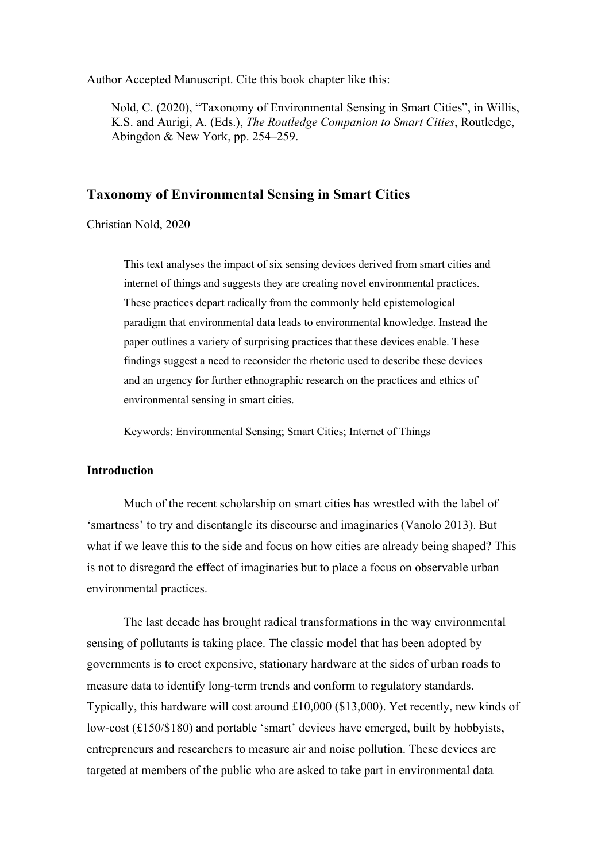Author Accepted Manuscript. Cite this book chapter like this:

Nold, C. (2020), "Taxonomy of Environmental Sensing in Smart Cities", in Willis, K.S. and Aurigi, A. (Eds.), *The Routledge Companion to Smart Cities*, Routledge, Abingdon & New York, pp. 254–259.

## **Taxonomy of Environmental Sensing in Smart Cities**

Christian Nold, 2020

This text analyses the impact of six sensing devices derived from smart cities and internet of things and suggests they are creating novel environmental practices. These practices depart radically from the commonly held epistemological paradigm that environmental data leads to environmental knowledge. Instead the paper outlines a variety of surprising practices that these devices enable. These findings suggest a need to reconsider the rhetoric used to describe these devices and an urgency for further ethnographic research on the practices and ethics of environmental sensing in smart cities.

Keywords: Environmental Sensing; Smart Cities; Internet of Things

# **Introduction**

Much of the recent scholarship on smart cities has wrestled with the label of 'smartness' to try and disentangle its discourse and imaginaries (Vanolo 2013). But what if we leave this to the side and focus on how cities are already being shaped? This is not to disregard the effect of imaginaries but to place a focus on observable urban environmental practices.

The last decade has brought radical transformations in the way environmental sensing of pollutants is taking place. The classic model that has been adopted by governments is to erect expensive, stationary hardware at the sides of urban roads to measure data to identify long-term trends and conform to regulatory standards. Typically, this hardware will cost around £10,000 (\$13,000). Yet recently, new kinds of low-cost (£150/\$180) and portable 'smart' devices have emerged, built by hobbyists, entrepreneurs and researchers to measure air and noise pollution. These devices are targeted at members of the public who are asked to take part in environmental data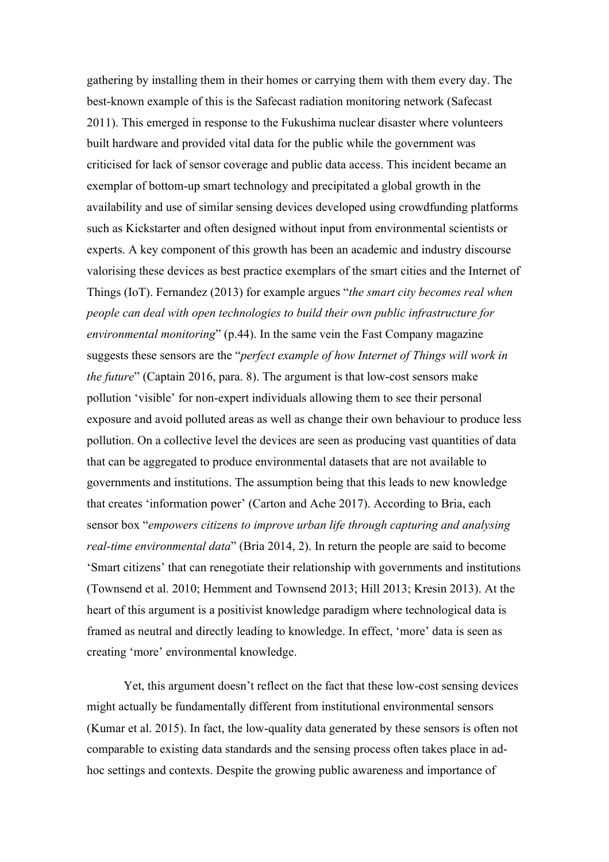gathering by installing them in their homes or carrying them with them every day. The best-known example of this is the Safecast radiation monitoring network (Safecast 2011). This emerged in response to the Fukushima nuclear disaster where volunteers built hardware and provided vital data for the public while the government was criticised for lack of sensor coverage and public data access. This incident became an exemplar of bottom-up smart technology and precipitated a global growth in the availability and use of similar sensing devices developed using crowdfunding platforms such as Kickstarter and often designed without input from environmental scientists or experts. A key component of this growth has been an academic and industry discourse valorising these devices as best practice exemplars of the smart cities and the Internet of Things (IoT). Fernandez (2013) for example argues "*the smart city becomes real when people can deal with open technologies to build their own public infrastructure for environmental monitoring*" (p.44). In the same vein the Fast Company magazine suggests these sensors are the "*perfect example of how Internet of Things will work in the future*" (Captain 2016, para. 8). The argument is that low-cost sensors make pollution 'visible' for non-expert individuals allowing them to see their personal exposure and avoid polluted areas as well as change their own behaviour to produce less pollution. On a collective level the devices are seen as producing vast quantities of data that can be aggregated to produce environmental datasets that are not available to governments and institutions. The assumption being that this leads to new knowledge that creates 'information power' (Carton and Ache 2017). According to Bria, each sensor box "*empowers citizens to improve urban life through capturing and analysing real-time environmental data*" (Bria 2014, 2). In return the people are said to become 'Smart citizens' that can renegotiate their relationship with governments and institutions (Townsend et al. 2010; Hemment and Townsend 2013; Hill 2013; Kresin 2013). At the heart of this argument is a positivist knowledge paradigm where technological data is framed as neutral and directly leading to knowledge. In effect, 'more' data is seen as creating 'more' environmental knowledge.

Yet, this argument doesn't reflect on the fact that these low-cost sensing devices might actually be fundamentally different from institutional environmental sensors (Kumar et al. 2015). In fact, the low-quality data generated by these sensors is often not comparable to existing data standards and the sensing process often takes place in adhoc settings and contexts. Despite the growing public awareness and importance of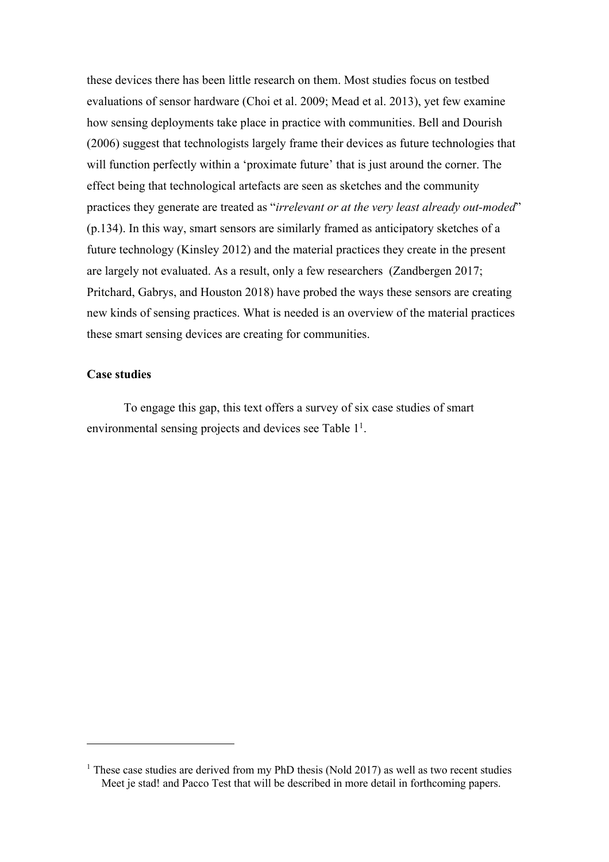these devices there has been little research on them. Most studies focus on testbed evaluations of sensor hardware (Choi et al. 2009; Mead et al. 2013), yet few examine how sensing deployments take place in practice with communities. Bell and Dourish (2006) suggest that technologists largely frame their devices as future technologies that will function perfectly within a 'proximate future' that is just around the corner. The effect being that technological artefacts are seen as sketches and the community practices they generate are treated as "*irrelevant or at the very least already out-moded*" (p.134). In this way, smart sensors are similarly framed as anticipatory sketches of a future technology (Kinsley 2012) and the material practices they create in the present are largely not evaluated. As a result, only a few researchers (Zandbergen 2017; Pritchard, Gabrys, and Houston 2018) have probed the ways these sensors are creating new kinds of sensing practices. What is needed is an overview of the material practices these smart sensing devices are creating for communities.

#### **Case studies**

To engage this gap, this text offers a survey of six case studies of smart environmental sensing projects and devices see Table  $1<sup>1</sup>$ .

 $1$  These case studies are derived from my PhD thesis (Nold 2017) as well as two recent studies Meet je stad! and Pacco Test that will be described in more detail in forthcoming papers.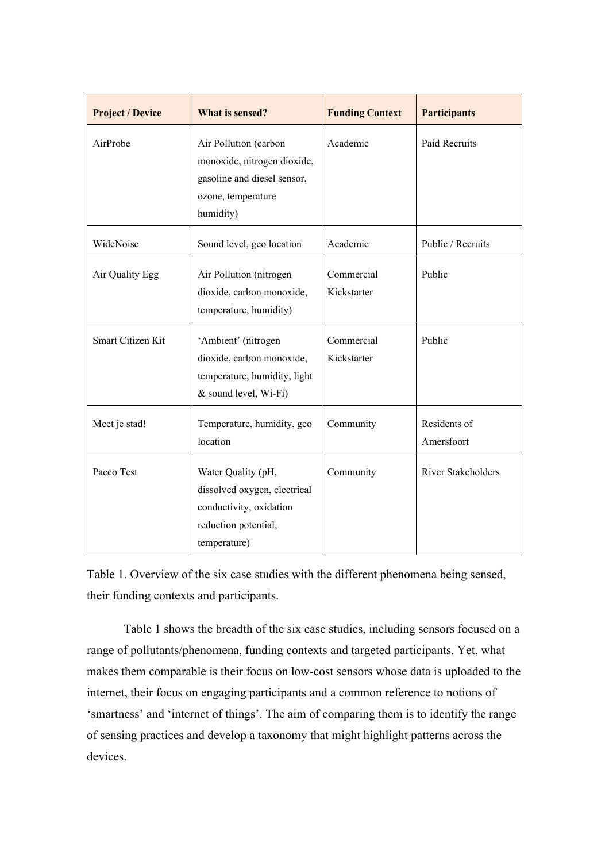| <b>Project / Device</b> | What is sensed?                                                                                                        | <b>Funding Context</b>    | <b>Participants</b>        |
|-------------------------|------------------------------------------------------------------------------------------------------------------------|---------------------------|----------------------------|
| AirProbe                | Air Pollution (carbon<br>monoxide, nitrogen dioxide,<br>gasoline and diesel sensor,<br>ozone, temperature<br>humidity) | Academic                  | Paid Recruits              |
| WideNoise               | Sound level, geo location                                                                                              | Academic                  | Public / Recruits          |
| Air Quality Egg         | Air Pollution (nitrogen<br>dioxide, carbon monoxide,<br>temperature, humidity)                                         | Commercial<br>Kickstarter | Public                     |
| Smart Citizen Kit       | 'Ambient' (nitrogen<br>dioxide, carbon monoxide,<br>temperature, humidity, light<br>& sound level, Wi-Fi)              | Commercial<br>Kickstarter | Public                     |
| Meet je stad!           | Temperature, humidity, geo<br>location                                                                                 | Community                 | Residents of<br>Amersfoort |
| Pacco Test              | Water Quality (pH,<br>dissolved oxygen, electrical<br>conductivity, oxidation<br>reduction potential,<br>temperature)  | Community                 | River Stakeholders         |

Table 1. Overview of the six case studies with the different phenomena being sensed, their funding contexts and participants.

Table 1 shows the breadth of the six case studies, including sensors focused on a range of pollutants/phenomena, funding contexts and targeted participants. Yet, what makes them comparable is their focus on low-cost sensors whose data is uploaded to the internet, their focus on engaging participants and a common reference to notions of 'smartness' and 'internet of things'. The aim of comparing them is to identify the range of sensing practices and develop a taxonomy that might highlight patterns across the devices.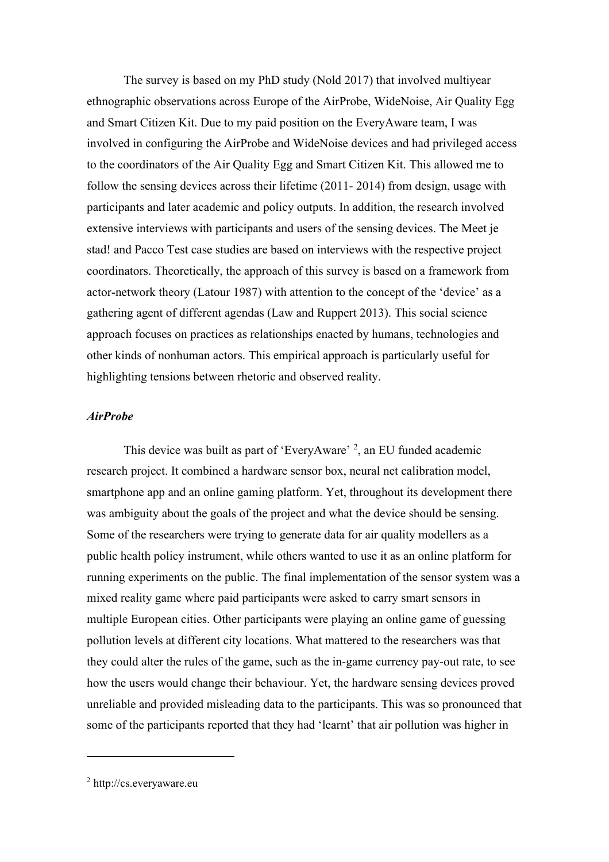The survey is based on my PhD study (Nold 2017) that involved multiyear ethnographic observations across Europe of the AirProbe, WideNoise, Air Quality Egg and Smart Citizen Kit. Due to my paid position on the EveryAware team, I was involved in configuring the AirProbe and WideNoise devices and had privileged access to the coordinators of the Air Quality Egg and Smart Citizen Kit. This allowed me to follow the sensing devices across their lifetime (2011- 2014) from design, usage with participants and later academic and policy outputs. In addition, the research involved extensive interviews with participants and users of the sensing devices. The Meet je stad! and Pacco Test case studies are based on interviews with the respective project coordinators. Theoretically, the approach of this survey is based on a framework from actor-network theory (Latour 1987) with attention to the concept of the 'device' as a gathering agent of different agendas (Law and Ruppert 2013). This social science approach focuses on practices as relationships enacted by humans, technologies and other kinds of nonhuman actors. This empirical approach is particularly useful for highlighting tensions between rhetoric and observed reality.

#### *AirProbe*

This device was built as part of 'EveryAware' <sup>2</sup>, an EU funded academic research project. It combined a hardware sensor box, neural net calibration model, smartphone app and an online gaming platform. Yet, throughout its development there was ambiguity about the goals of the project and what the device should be sensing. Some of the researchers were trying to generate data for air quality modellers as a public health policy instrument, while others wanted to use it as an online platform for running experiments on the public. The final implementation of the sensor system was a mixed reality game where paid participants were asked to carry smart sensors in multiple European cities. Other participants were playing an online game of guessing pollution levels at different city locations. What mattered to the researchers was that they could alter the rules of the game, such as the in-game currency pay-out rate, to see how the users would change their behaviour. Yet, the hardware sensing devices proved unreliable and provided misleading data to the participants. This was so pronounced that some of the participants reported that they had 'learnt' that air pollution was higher in

<sup>2</sup> http://cs.everyaware.eu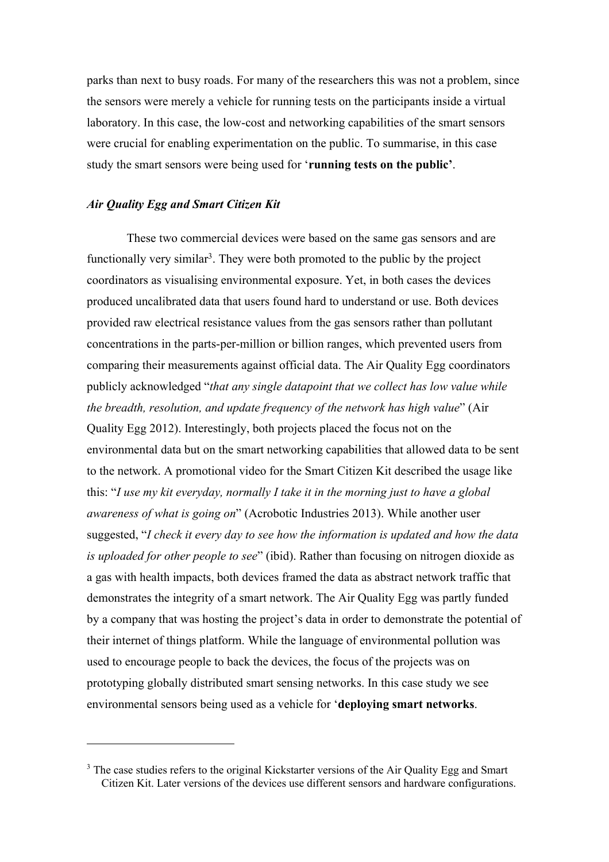parks than next to busy roads. For many of the researchers this was not a problem, since the sensors were merely a vehicle for running tests on the participants inside a virtual laboratory. In this case, the low-cost and networking capabilities of the smart sensors were crucial for enabling experimentation on the public. To summarise, in this case study the smart sensors were being used for '**running tests on the public'**.

### *Air Quality Egg and Smart Citizen Kit*

These two commercial devices were based on the same gas sensors and are functionally very similar<sup>3</sup>. They were both promoted to the public by the project coordinators as visualising environmental exposure. Yet, in both cases the devices produced uncalibrated data that users found hard to understand or use. Both devices provided raw electrical resistance values from the gas sensors rather than pollutant concentrations in the parts-per-million or billion ranges, which prevented users from comparing their measurements against official data. The Air Quality Egg coordinators publicly acknowledged "*that any single datapoint that we collect has low value while the breadth, resolution, and update frequency of the network has high value*" (Air Quality Egg 2012). Interestingly, both projects placed the focus not on the environmental data but on the smart networking capabilities that allowed data to be sent to the network. A promotional video for the Smart Citizen Kit described the usage like this: "*I use my kit everyday, normally I take it in the morning just to have a global awareness of what is going on*" (Acrobotic Industries 2013). While another user suggested, "*I check it every day to see how the information is updated and how the data is uploaded for other people to see*" (ibid). Rather than focusing on nitrogen dioxide as a gas with health impacts, both devices framed the data as abstract network traffic that demonstrates the integrity of a smart network. The Air Quality Egg was partly funded by a company that was hosting the project's data in order to demonstrate the potential of their internet of things platform. While the language of environmental pollution was used to encourage people to back the devices, the focus of the projects was on prototyping globally distributed smart sensing networks. In this case study we see environmental sensors being used as a vehicle for '**deploying smart networks**.

<sup>&</sup>lt;sup>3</sup> The case studies refers to the original Kickstarter versions of the Air Quality Egg and Smart Citizen Kit. Later versions of the devices use different sensors and hardware configurations.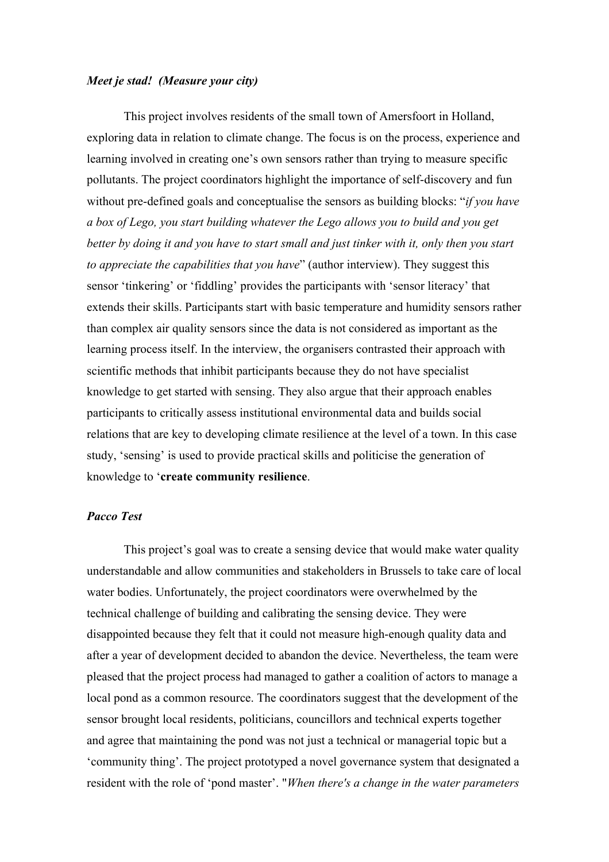### *Meet je stad! (Measure your city)*

This project involves residents of the small town of Amersfoort in Holland, exploring data in relation to climate change. The focus is on the process, experience and learning involved in creating one's own sensors rather than trying to measure specific pollutants. The project coordinators highlight the importance of self-discovery and fun without pre-defined goals and conceptualise the sensors as building blocks: "*if you have a box of Lego, you start building whatever the Lego allows you to build and you get better by doing it and you have to start small and just tinker with it, only then you start to appreciate the capabilities that you have*" (author interview). They suggest this sensor 'tinkering' or 'fiddling' provides the participants with 'sensor literacy' that extends their skills. Participants start with basic temperature and humidity sensors rather than complex air quality sensors since the data is not considered as important as the learning process itself. In the interview, the organisers contrasted their approach with scientific methods that inhibit participants because they do not have specialist knowledge to get started with sensing. They also argue that their approach enables participants to critically assess institutional environmental data and builds social relations that are key to developing climate resilience at the level of a town. In this case study, 'sensing' is used to provide practical skills and politicise the generation of knowledge to '**create community resilience**.

## *Pacco Test*

This project's goal was to create a sensing device that would make water quality understandable and allow communities and stakeholders in Brussels to take care of local water bodies. Unfortunately, the project coordinators were overwhelmed by the technical challenge of building and calibrating the sensing device. They were disappointed because they felt that it could not measure high-enough quality data and after a year of development decided to abandon the device. Nevertheless, the team were pleased that the project process had managed to gather a coalition of actors to manage a local pond as a common resource. The coordinators suggest that the development of the sensor brought local residents, politicians, councillors and technical experts together and agree that maintaining the pond was not just a technical or managerial topic but a 'community thing'. The project prototyped a novel governance system that designated a resident with the role of 'pond master'. "*When there's a change in the water parameters*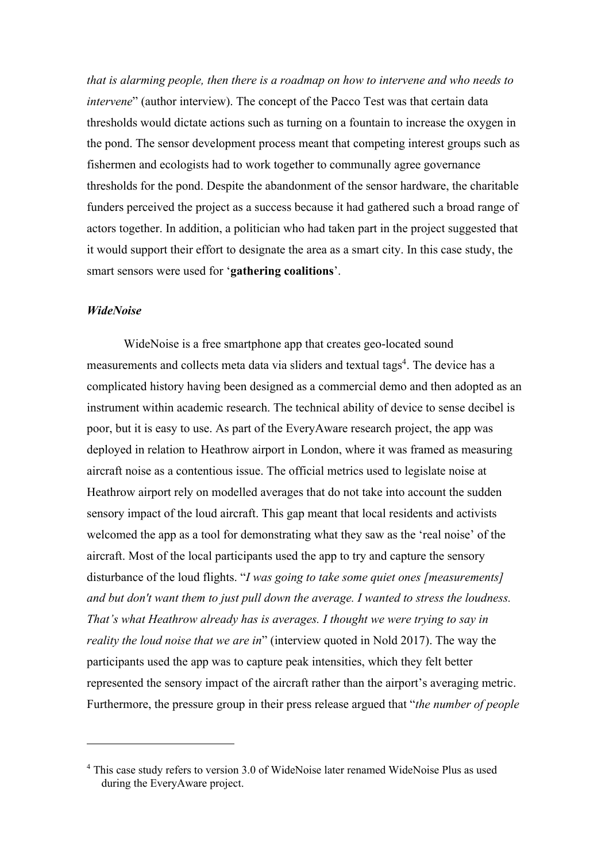*that is alarming people, then there is a roadmap on how to intervene and who needs to intervene*" (author interview). The concept of the Pacco Test was that certain data thresholds would dictate actions such as turning on a fountain to increase the oxygen in the pond. The sensor development process meant that competing interest groups such as fishermen and ecologists had to work together to communally agree governance thresholds for the pond. Despite the abandonment of the sensor hardware, the charitable funders perceived the project as a success because it had gathered such a broad range of actors together. In addition, a politician who had taken part in the project suggested that it would support their effort to designate the area as a smart city. In this case study, the smart sensors were used for '**gathering coalitions**'.

## *WideNoise*

WideNoise is a free smartphone app that creates geo-located sound measurements and collects meta data via sliders and textual tags<sup>4</sup>. The device has a complicated history having been designed as a commercial demo and then adopted as an instrument within academic research. The technical ability of device to sense decibel is poor, but it is easy to use. As part of the EveryAware research project, the app was deployed in relation to Heathrow airport in London, where it was framed as measuring aircraft noise as a contentious issue. The official metrics used to legislate noise at Heathrow airport rely on modelled averages that do not take into account the sudden sensory impact of the loud aircraft. This gap meant that local residents and activists welcomed the app as a tool for demonstrating what they saw as the 'real noise' of the aircraft. Most of the local participants used the app to try and capture the sensory disturbance of the loud flights. "*I was going to take some quiet ones [measurements] and but don't want them to just pull down the average. I wanted to stress the loudness. That's what Heathrow already has is averages. I thought we were trying to say in reality the loud noise that we are in*" (interview quoted in Nold 2017). The way the participants used the app was to capture peak intensities, which they felt better represented the sensory impact of the aircraft rather than the airport's averaging metric. Furthermore, the pressure group in their press release argued that "*the number of people* 

<sup>&</sup>lt;sup>4</sup> This case study refers to version 3.0 of WideNoise later renamed WideNoise Plus as used during the EveryAware project.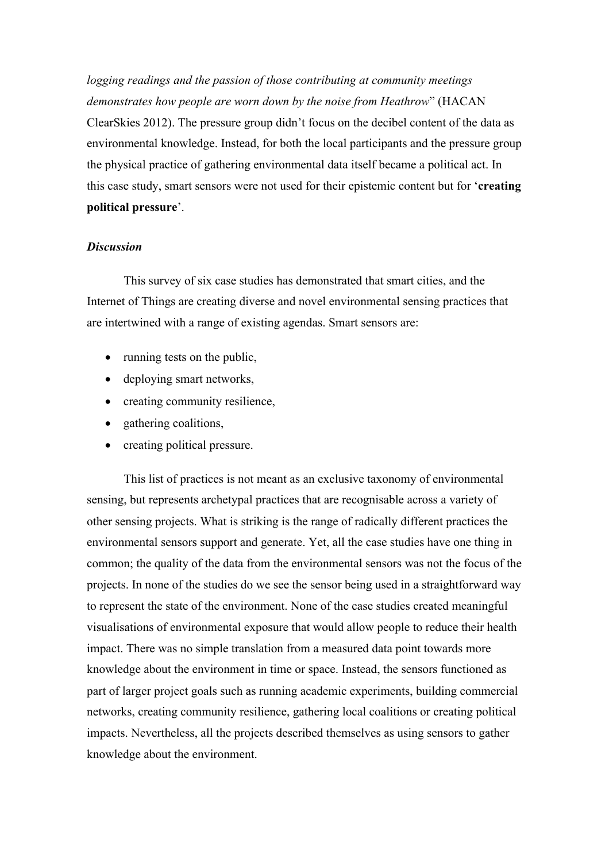*logging readings and the passion of those contributing at community meetings demonstrates how people are worn down by the noise from Heathrow*" (HACAN ClearSkies 2012). The pressure group didn't focus on the decibel content of the data as environmental knowledge. Instead, for both the local participants and the pressure group the physical practice of gathering environmental data itself became a political act. In this case study, smart sensors were not used for their epistemic content but for '**creating political pressure**'.

## *Discussion*

This survey of six case studies has demonstrated that smart cities, and the Internet of Things are creating diverse and novel environmental sensing practices that are intertwined with a range of existing agendas. Smart sensors are:

- running tests on the public,
- deploying smart networks,
- creating community resilience,
- gathering coalitions,
- creating political pressure.

This list of practices is not meant as an exclusive taxonomy of environmental sensing, but represents archetypal practices that are recognisable across a variety of other sensing projects. What is striking is the range of radically different practices the environmental sensors support and generate. Yet, all the case studies have one thing in common; the quality of the data from the environmental sensors was not the focus of the projects. In none of the studies do we see the sensor being used in a straightforward way to represent the state of the environment. None of the case studies created meaningful visualisations of environmental exposure that would allow people to reduce their health impact. There was no simple translation from a measured data point towards more knowledge about the environment in time or space. Instead, the sensors functioned as part of larger project goals such as running academic experiments, building commercial networks, creating community resilience, gathering local coalitions or creating political impacts. Nevertheless, all the projects described themselves as using sensors to gather knowledge about the environment.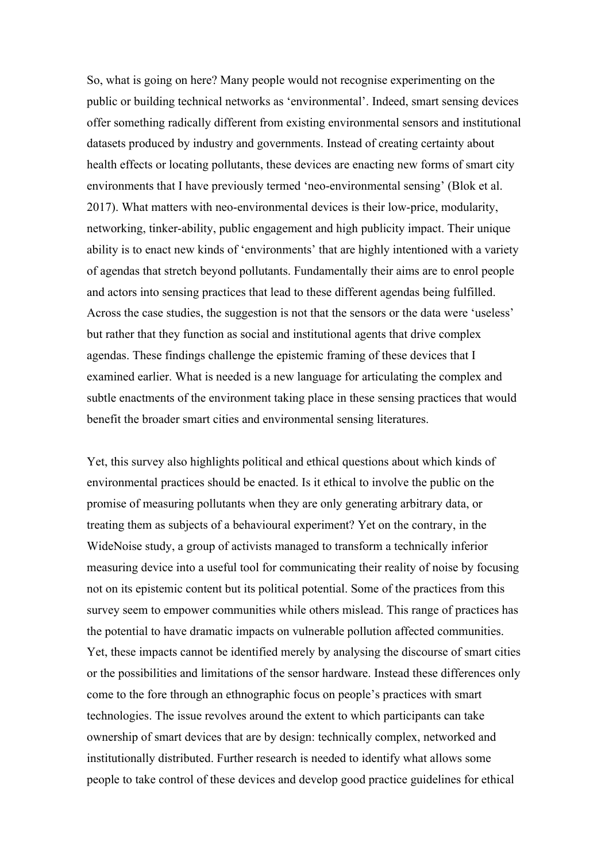So, what is going on here? Many people would not recognise experimenting on the public or building technical networks as 'environmental'. Indeed, smart sensing devices offer something radically different from existing environmental sensors and institutional datasets produced by industry and governments. Instead of creating certainty about health effects or locating pollutants, these devices are enacting new forms of smart city environments that I have previously termed 'neo-environmental sensing' (Blok et al. 2017). What matters with neo-environmental devices is their low-price, modularity, networking, tinker-ability, public engagement and high publicity impact. Their unique ability is to enact new kinds of 'environments' that are highly intentioned with a variety of agendas that stretch beyond pollutants. Fundamentally their aims are to enrol people and actors into sensing practices that lead to these different agendas being fulfilled. Across the case studies, the suggestion is not that the sensors or the data were 'useless' but rather that they function as social and institutional agents that drive complex agendas. These findings challenge the epistemic framing of these devices that I examined earlier. What is needed is a new language for articulating the complex and subtle enactments of the environment taking place in these sensing practices that would benefit the broader smart cities and environmental sensing literatures.

Yet, this survey also highlights political and ethical questions about which kinds of environmental practices should be enacted. Is it ethical to involve the public on the promise of measuring pollutants when they are only generating arbitrary data, or treating them as subjects of a behavioural experiment? Yet on the contrary, in the WideNoise study, a group of activists managed to transform a technically inferior measuring device into a useful tool for communicating their reality of noise by focusing not on its epistemic content but its political potential. Some of the practices from this survey seem to empower communities while others mislead. This range of practices has the potential to have dramatic impacts on vulnerable pollution affected communities. Yet, these impacts cannot be identified merely by analysing the discourse of smart cities or the possibilities and limitations of the sensor hardware. Instead these differences only come to the fore through an ethnographic focus on people's practices with smart technologies. The issue revolves around the extent to which participants can take ownership of smart devices that are by design: technically complex, networked and institutionally distributed. Further research is needed to identify what allows some people to take control of these devices and develop good practice guidelines for ethical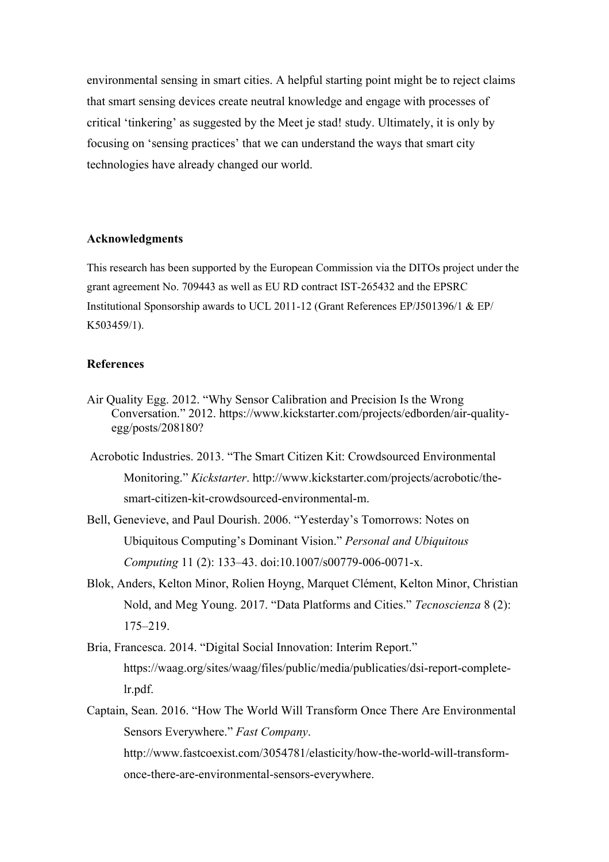environmental sensing in smart cities. A helpful starting point might be to reject claims that smart sensing devices create neutral knowledge and engage with processes of critical 'tinkering' as suggested by the Meet je stad! study. Ultimately, it is only by focusing on 'sensing practices' that we can understand the ways that smart city technologies have already changed our world.

#### **Acknowledgments**

This research has been supported by the European Commission via the DITOs project under the grant agreement No. 709443 as well as EU RD contract IST-265432 and the EPSRC Institutional Sponsorship awards to UCL 2011-12 (Grant References EP/J501396/1 & EP/ K503459/1).

#### **References**

- Air Quality Egg. 2012. "Why Sensor Calibration and Precision Is the Wrong Conversation." 2012. https://www.kickstarter.com/projects/edborden/air-qualityegg/posts/208180?
- Acrobotic Industries. 2013. "The Smart Citizen Kit: Crowdsourced Environmental Monitoring." *Kickstarter*. http://www.kickstarter.com/projects/acrobotic/thesmart-citizen-kit-crowdsourced-environmental-m.
- Bell, Genevieve, and Paul Dourish. 2006. "Yesterday's Tomorrows: Notes on Ubiquitous Computing's Dominant Vision." *Personal and Ubiquitous Computing* 11 (2): 133–43. doi:10.1007/s00779-006-0071-x.
- Blok, Anders, Kelton Minor, Rolien Hoyng, Marquet Clément, Kelton Minor, Christian Nold, and Meg Young. 2017. "Data Platforms and Cities." *Tecnoscienza* 8 (2): 175–219.

Bria, Francesca. 2014. "Digital Social Innovation: Interim Report." https://waag.org/sites/waag/files/public/media/publicaties/dsi-report-completelr.pdf.

Captain, Sean. 2016. "How The World Will Transform Once There Are Environmental Sensors Everywhere." *Fast Company*. http://www.fastcoexist.com/3054781/elasticity/how-the-world-will-transformonce-there-are-environmental-sensors-everywhere.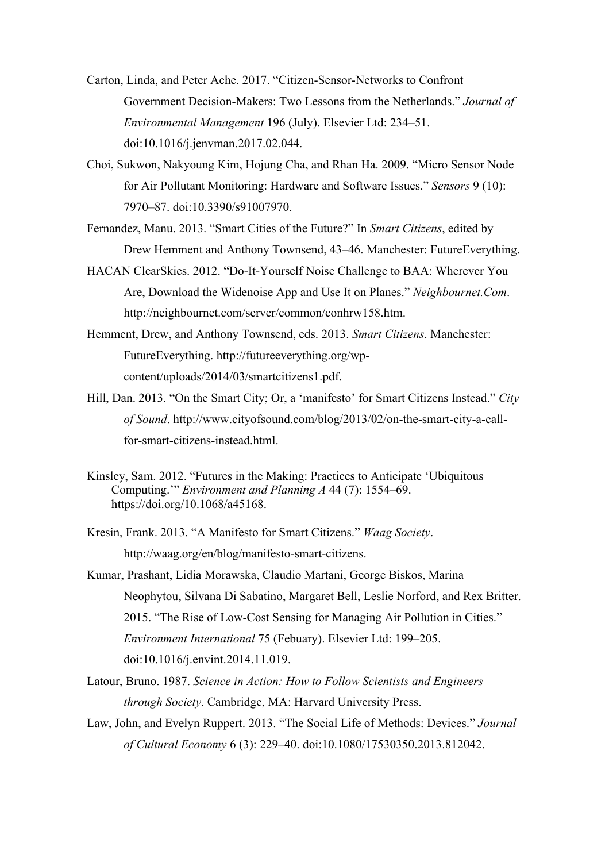- Carton, Linda, and Peter Ache. 2017. "Citizen-Sensor-Networks to Confront Government Decision-Makers: Two Lessons from the Netherlands." *Journal of Environmental Management* 196 (July). Elsevier Ltd: 234–51. doi:10.1016/j.jenvman.2017.02.044.
- Choi, Sukwon, Nakyoung Kim, Hojung Cha, and Rhan Ha. 2009. "Micro Sensor Node for Air Pollutant Monitoring: Hardware and Software Issues." *Sensors* 9 (10): 7970–87. doi:10.3390/s91007970.
- Fernandez, Manu. 2013. "Smart Cities of the Future?" In *Smart Citizens*, edited by Drew Hemment and Anthony Townsend, 43–46. Manchester: FutureEverything.
- HACAN ClearSkies. 2012. "Do-It-Yourself Noise Challenge to BAA: Wherever You Are, Download the Widenoise App and Use It on Planes." *Neighbournet.Com*. http://neighbournet.com/server/common/conhrw158.htm.
- Hemment, Drew, and Anthony Townsend, eds. 2013. *Smart Citizens*. Manchester: FutureEverything. http://futureeverything.org/wpcontent/uploads/2014/03/smartcitizens1.pdf.
- Hill, Dan. 2013. "On the Smart City; Or, a 'manifesto' for Smart Citizens Instead." *City of Sound*. http://www.cityofsound.com/blog/2013/02/on-the-smart-city-a-callfor-smart-citizens-instead.html.
- Kinsley, Sam. 2012. "Futures in the Making: Practices to Anticipate 'Ubiquitous Computing.'" *Environment and Planning A* 44 (7): 1554–69. https://doi.org/10.1068/a45168.
- Kresin, Frank. 2013. "A Manifesto for Smart Citizens." *Waag Society*. http://waag.org/en/blog/manifesto-smart-citizens.
- Kumar, Prashant, Lidia Morawska, Claudio Martani, George Biskos, Marina Neophytou, Silvana Di Sabatino, Margaret Bell, Leslie Norford, and Rex Britter. 2015. "The Rise of Low-Cost Sensing for Managing Air Pollution in Cities." *Environment International* 75 (Febuary). Elsevier Ltd: 199–205. doi:10.1016/j.envint.2014.11.019.
- Latour, Bruno. 1987. *Science in Action: How to Follow Scientists and Engineers through Society*. Cambridge, MA: Harvard University Press.
- Law, John, and Evelyn Ruppert. 2013. "The Social Life of Methods: Devices." *Journal of Cultural Economy* 6 (3): 229–40. doi:10.1080/17530350.2013.812042.